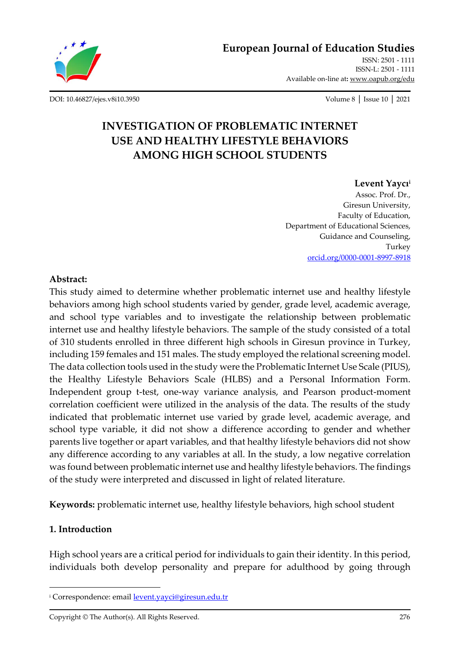

**[European Journal of Education Studies](http://oapub.org/edu/index.php/ejes)**

[ISSN: 2501 -](http://oapub.org/edu/index.php/ejes) 1111 [ISSN-L: 2501 -](http://oapub.org/edu/index.php/ejes) 1111 Available on-line at**:** [www.oapub.org/edu](http://www.oapub.org/edu)

[DOI: 10.46827/ejes.v8i10.3950](http://dx.doi.org/10.46827/ejes.v8i10.3950) Volume 8 │ Issue 10 │ 2021

# **INVESTIGATION OF PROBLEMATIC INTERNET USE AND HEALTHY LIFESTYLE BEHAVIORS AMONG HIGH SCHOOL STUDENTS**

### **Levent Yaycı<sup>i</sup>**

Assoc. Prof. Dr., Giresun University, Faculty of Education, Department of Educational Sciences, Guidance and Counseling, Turkey [orcid.org/0000-0001-8997-8918](https://orcid.org/0000-0001-8997-8918)

## **Abstract:**

This study aimed to determine whether problematic internet use and healthy lifestyle behaviors among high school students varied by gender, grade level, academic average, and school type variables and to investigate the relationship between problematic internet use and healthy lifestyle behaviors. The sample of the study consisted of a total of 310 students enrolled in three different high schools in Giresun province in Turkey, including 159 females and 151 males. The study employed the relational screening model. The data collection tools used in the study were the Problematic Internet Use Scale (PIUS), the Healthy Lifestyle Behaviors Scale (HLBS) and a Personal Information Form. Independent group t-test, one-way variance analysis, and Pearson product-moment correlation coefficient were utilized in the analysis of the data. The results of the study indicated that problematic internet use varied by grade level, academic average, and school type variable, it did not show a difference according to gender and whether parents live together or apart variables, and that healthy lifestyle behaviors did not show any difference according to any variables at all. In the study, a low negative correlation was found between problematic internet use and healthy lifestyle behaviors. The findings of the study were interpreted and discussed in light of related literature.

**Keywords:** problematic internet use, healthy lifestyle behaviors, high school student

## **1. Introduction**

High school years are a critical period for individuals to gain their identity. In this period, individuals both develop personality and prepare for adulthood by going through

<sup>&</sup>lt;sup>i</sup> Correspondence: email **levent**.yayci@giresun.edu.tr

Copyright © The Author(s). All Rights Reserved. 276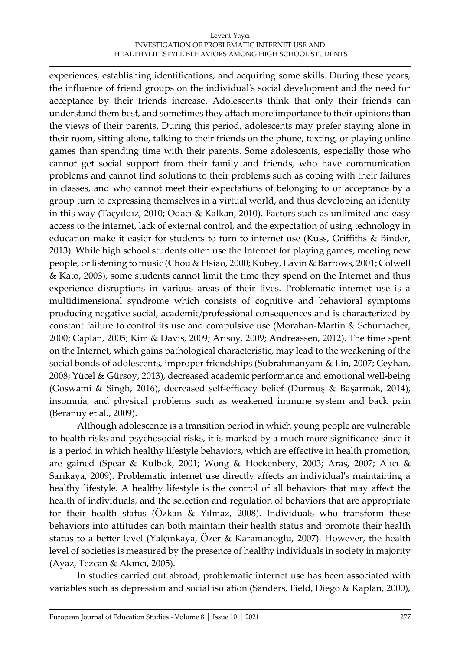#### Levent Yaycı INVESTIGATION OF PROBLEMATIC INTERNET USE AND HEALTHYLIFESTYLE BEHAVIORS AMONG HIGH SCHOOL STUDENTS

experiences, establishing identifications, and acquiring some skills. During these years, the influence of friend groups on the individual's social development and the need for acceptance by their friends increase. Adolescents think that only their friends can understand them best, and sometimes they attach more importance to their opinions than the views of their parents. During this period, adolescents may prefer staying alone in their room, sitting alone, talking to their friends on the phone, texting, or playing online games than spending time with their parents. Some adolescents, especially those who cannot get social support from their family and friends, who have communication problems and cannot find solutions to their problems such as coping with their failures in classes, and who cannot meet their expectations of belonging to or acceptance by a group turn to expressing themselves in a virtual world, and thus developing an identity in this way (Taçyıldız, 2010; Odacı & Kalkan, 2010). Factors such as unlimited and easy access to the internet, lack of external control, and the expectation of using technology in education make it easier for students to turn to internet use (Kuss, Griffiths & Binder, 2013). While high school students often use the Internet for playing games, meeting new people, or listening to music (Chou & Hsiao, 2000; Kubey, Lavin & Barrows, 2001; Colwell & Kato, 2003), some students cannot limit the time they spend on the Internet and thus experience disruptions in various areas of their lives. Problematic internet use is a multidimensional syndrome which consists of cognitive and behavioral symptoms producing negative social, academic/professional consequences and is characterized by constant failure to control its use and compulsive use (Morahan-Martin & Schumacher, 2000; Caplan, 2005; Kim & Davis, 2009; Arısoy, 2009; Andreassen, 2012). The time spent on the Internet, which gains pathological characteristic, may lead to the weakening of the social bonds of adolescents, improper friendships (Subrahmanyam & Lin, 2007; Ceyhan, 2008; Yücel & Gürsoy, 2013), decreased academic performance and emotional well-being (Goswami & Singh, 2016), decreased self-efficacy belief (Durmuş & Başarmak, 2014), insomnia, and physical problems such as weakened immune system and back pain (Beranuy et al., 2009).

Although adolescence is a transition period in which young people are vulnerable to health risks and psychosocial risks, it is marked by a much more significance since it is a period in which healthy lifestyle behaviors, which are effective in health promotion, are gained (Spear & Kulbok, 2001; Wong & Hockenbery, 2003; Aras, 2007; Alıcı & Sarıkaya, 2009). Problematic internet use directly affects an individual's maintaining a healthy lifestyle. A healthy lifestyle is the control of all behaviors that may affect the health of individuals, and the selection and regulation of behaviors that are appropriate for their health status (Özkan & Yılmaz, 2008). Individuals who transform these behaviors into attitudes can both maintain their health status and promote their health status to a better level (Yalçınkaya, Özer & Karamanoglu, 2007). However, the health level of societies is measured by the presence of healthy individuals in society in majority (Ayaz, Tezcan & Akıncı, 2005).

In studies carried out abroad, problematic internet use has been associated with variables such as depression and social isolation (Sanders, Field, Diego & Kaplan, 2000),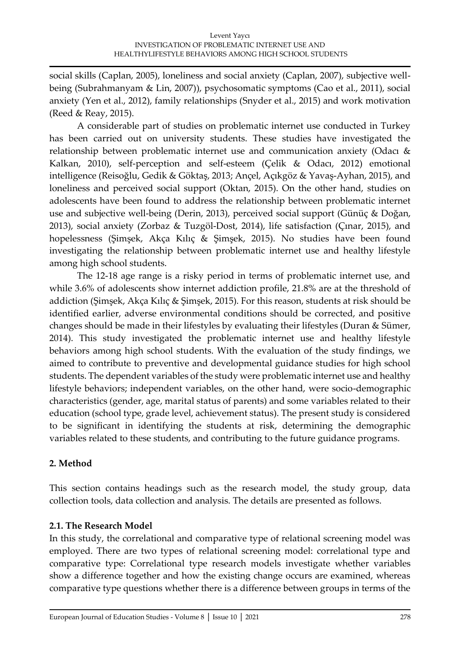social skills (Caplan, 2005), loneliness and social anxiety (Caplan, 2007), subjective wellbeing (Subrahmanyam & Lin, 2007)), psychosomatic symptoms (Cao et al., 2011), social anxiety (Yen et al., 2012), family relationships (Snyder et al., 2015) and work motivation (Reed & Reay, 2015).

A considerable part of studies on problematic internet use conducted in Turkey has been carried out on university students. These studies have investigated the relationship between problematic internet use and communication anxiety (Odacı & Kalkan, 2010), self-perception and self-esteem (Çelik & Odacı, 2012) emotional intelligence (Reisoğlu, Gedik & Göktaş, 2013; Ançel, Açıkgöz & Yavaş-Ayhan, 2015), and loneliness and perceived social support (Oktan, 2015). On the other hand, studies on adolescents have been found to address the relationship between problematic internet use and subjective well-being (Derin, 2013), perceived social support (Günüç & Doğan, 2013), social anxiety (Zorbaz & Tuzgöl-Dost, 2014), life satisfaction (Çınar, 2015), and hopelessness (Şimşek, Akça Kılıç & Şimşek, 2015). No studies have been found investigating the relationship between problematic internet use and healthy lifestyle among high school students.

The 12-18 age range is a risky period in terms of problematic internet use, and while 3.6% of adolescents show internet addiction profile, 21.8% are at the threshold of addiction (Şimşek, Akça Kılıç & Şimşek, 2015). For this reason, students at risk should be identified earlier, adverse environmental conditions should be corrected, and positive changes should be made in their lifestyles by evaluating their lifestyles (Duran & Sümer, 2014). This study investigated the problematic internet use and healthy lifestyle behaviors among high school students. With the evaluation of the study findings, we aimed to contribute to preventive and developmental guidance studies for high school students. The dependent variables of the study were problematic internet use and healthy lifestyle behaviors; independent variables, on the other hand, were socio-demographic characteristics (gender, age, marital status of parents) and some variables related to their education (school type, grade level, achievement status). The present study is considered to be significant in identifying the students at risk, determining the demographic variables related to these students, and contributing to the future guidance programs.

## **2. Method**

This section contains headings such as the research model, the study group, data collection tools, data collection and analysis. The details are presented as follows.

## **2.1. The Research Model**

In this study, the correlational and comparative type of relational screening model was employed. There are two types of relational screening model: correlational type and comparative type: Correlational type research models investigate whether variables show a difference together and how the existing change occurs are examined, whereas comparative type questions whether there is a difference between groups in terms of the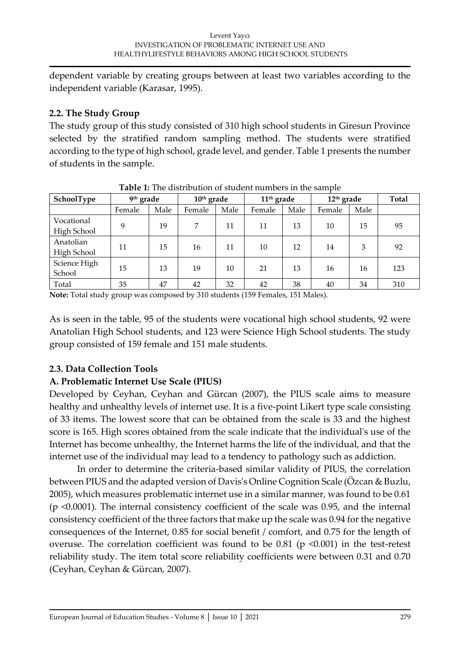dependent variable by creating groups between at least two variables according to the independent variable (Karasar, 1995).

## **2.2. The Study Group**

The study group of this study consisted of 310 high school students in Giresun Province selected by the stratified random sampling method. The students were stratified according to the type of high school, grade level, and gender. Table 1 presents the number of students in the sample.

| Tubic 1. The distribution of staudit humbers in the sample |                       |      |              |      |                        |      |              |      |              |  |  |
|------------------------------------------------------------|-----------------------|------|--------------|------|------------------------|------|--------------|------|--------------|--|--|
| SchoolType                                                 | 9 <sup>th</sup> grade |      | $10th$ grade |      | 11 <sup>th</sup> grade |      | $12th$ grade |      | <b>Total</b> |  |  |
|                                                            | Female                | Male | Female       | Male | Female                 | Male | Female       | Male |              |  |  |
| Vocational<br>High School                                  | 9                     | 19   | 7            | 11   | 11                     | 13   | 10           | 15   | 95           |  |  |
| Anatolian<br>High School                                   | 11                    | 15   | 16           | 11   | 10                     | 12   | 14           | 3    | 92           |  |  |
| Science High<br>School                                     | 15                    | 13   | 19           | 10   | 21                     | 13   | 16           | 16   | 123          |  |  |
| Total                                                      | 35                    | 47   | 42           | 32   | 42                     | 38   | 40           | 34   | 310          |  |  |

**Table 1:** The distribution of student numbers in the sample

**Note:** Total study group was composed by 310 students (159 Females, 151 Males).

As is seen in the table, 95 of the students were vocational high school students, 92 were Anatolian High School students, and 123 were Science High School students. The study group consisted of 159 female and 151 male students.

## **2.3. Data Collection Tools**

## **A. Problematic Internet Use Scale (PIUS)**

Developed by Ceyhan, Ceyhan and Gürcan (2007), the PIUS scale aims to measure healthy and unhealthy levels of internet use. It is a five-point Likert type scale consisting of 33 items. The lowest score that can be obtained from the scale is 33 and the highest score is 165. High scores obtained from the scale indicate that the individual's use of the Internet has become unhealthy, the Internet harms the life of the individual, and that the internet use of the individual may lead to a tendency to pathology such as addiction.

In order to determine the criteria-based similar validity of PIUS, the correlation between PIUS and the adapted version of Davis's Online Cognition Scale (Özcan & Buzlu, 2005), which measures problematic internet use in a similar manner, was found to be 0.61 (p <0.0001). The internal consistency coefficient of the scale was 0.95, and the internal consistency coefficient of the three factors that make up the scale was 0.94 for the negative consequences of the Internet, 0.85 for social benefit / comfort, and 0.75 for the length of overuse. The correlation coefficient was found to be  $0.81$  (p <0.001) in the test-retest reliability study. The item total score reliability coefficients were between 0.31 and 0.70 (Ceyhan, Ceyhan & Gürcan, 2007).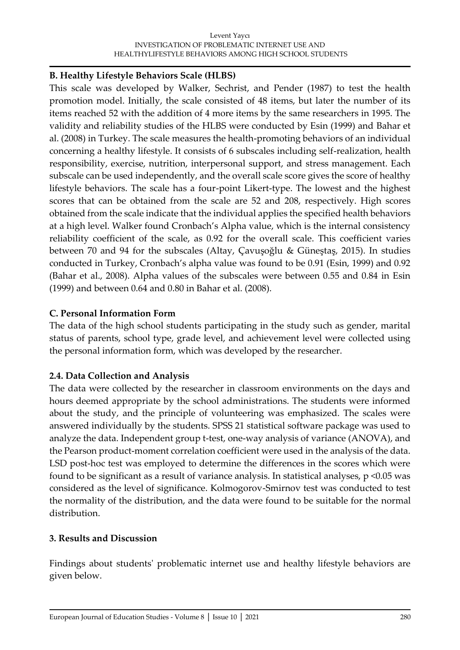#### Levent Yaycı INVESTIGATION OF PROBLEMATIC INTERNET USE AND HEALTHYLIFESTYLE BEHAVIORS AMONG HIGH SCHOOL STUDENTS

## **B. Healthy Lifestyle Behaviors Scale (HLBS)**

This scale was developed by Walker, Sechrist, and Pender (1987) to test the health promotion model. Initially, the scale consisted of 48 items, but later the number of its items reached 52 with the addition of 4 more items by the same researchers in 1995. The validity and reliability studies of the HLBS were conducted by Esin (1999) and Bahar et al. (2008) in Turkey. The scale measures the health-promoting behaviors of an individual concerning a healthy lifestyle. It consists of 6 subscales including self-realization, health responsibility, exercise, nutrition, interpersonal support, and stress management. Each subscale can be used independently, and the overall scale score gives the score of healthy lifestyle behaviors. The scale has a four-point Likert-type. The lowest and the highest scores that can be obtained from the scale are 52 and 208, respectively. High scores obtained from the scale indicate that the individual applies the specified health behaviors at a high level. Walker found Cronbach's Alpha value, which is the internal consistency reliability coefficient of the scale, as 0.92 for the overall scale. This coefficient varies between 70 and 94 for the subscales (Altay, Çavuşoğlu & Güneştaş, 2015). In studies conducted in Turkey, Cronbach's alpha value was found to be 0.91 (Esin, 1999) and 0.92 (Bahar et al., 2008). Alpha values of the subscales were between 0.55 and 0.84 in Esin (1999) and between 0.64 and 0.80 in Bahar et al. (2008).

## **C. Personal Information Form**

The data of the high school students participating in the study such as gender, marital status of parents, school type, grade level, and achievement level were collected using the personal information form, which was developed by the researcher.

## **2.4. Data Collection and Analysis**

The data were collected by the researcher in classroom environments on the days and hours deemed appropriate by the school administrations. The students were informed about the study, and the principle of volunteering was emphasized. The scales were answered individually by the students. SPSS 21 statistical software package was used to analyze the data. Independent group t-test, one-way analysis of variance (ANOVA), and the Pearson product-moment correlation coefficient were used in the analysis of the data. LSD post-hoc test was employed to determine the differences in the scores which were found to be significant as a result of variance analysis. In statistical analyses,  $p$  <0.05 was considered as the level of significance. Kolmogorov-Smirnov test was conducted to test the normality of the distribution, and the data were found to be suitable for the normal distribution.

## **3. Results and Discussion**

Findings about students' problematic internet use and healthy lifestyle behaviors are given below.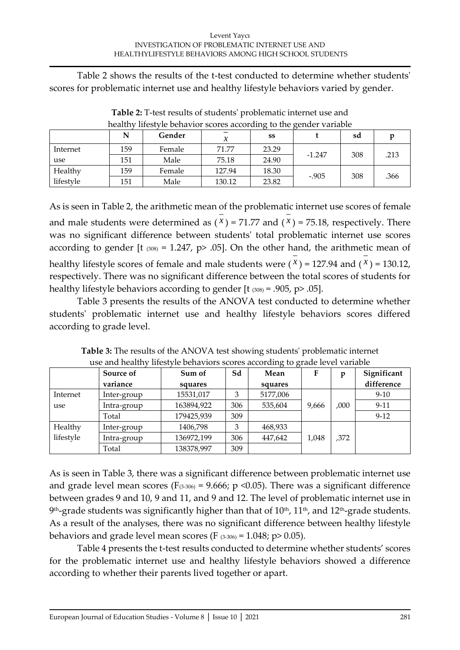Table 2 shows the results of the t-test conducted to determine whether students' scores for problematic internet use and healthy lifestyle behaviors varied by gender.

|           |     | Gender | ⋏      | SS    |          | sd  |      |
|-----------|-----|--------|--------|-------|----------|-----|------|
| Internet  | 159 | Female | 71.77  | 23.29 | $-1.247$ | 308 | .213 |
| use       | 151 | Male   | 75.18  | 24.90 |          |     |      |
| Healthy   | 159 | Female | 127.94 | 18.30 | $-.905$  | 308 | .366 |
| lifestyle | 151 | Male   | 130.12 | 23.82 |          |     |      |

**Table 2:** T-test results of students' problematic internet use and healthy lifestyle behavior scores according to the gender variable

As is seen in Table 2, the arithmetic mean of the problematic internet use scores of female and male students were determined as  $(x)$  = 71.77 and  $(x)$  = 75.18, respectively. There was no significant difference between students' total problematic internet use scores according to gender [t  $(308) = 1.247$ , p> .05]. On the other hand, the arithmetic mean of healthy lifestyle scores of female and male students were  $(x)$  = 127.94 and  $(x)$  = 130.12, respectively. There was no significant difference between the total scores of students for healthy lifestyle behaviors according to gender  $[t \cos t] = .905, p > .05$ .

Table 3 presents the results of the ANOVA test conducted to determine whether students' problematic internet use and healthy lifestyle behaviors scores differed according to grade level.

|           | Source of<br>variance | Sum of<br>squares | Sd  | Mean<br>squares | F     | D    | Significant<br>difference |
|-----------|-----------------------|-------------------|-----|-----------------|-------|------|---------------------------|
| Internet  | Inter-group           | 15531,017         |     | 5177,006        |       |      | $9-10$                    |
| use       | Intra-group           | 163894,922        | 306 | 535,604         | 9,666 | ,000 | $9-11$                    |
|           | Total                 | 179425,939        | 309 |                 |       |      | $9-12$                    |
| Healthy   | Inter-group           | 1406,798          | 3   | 468,933         |       |      |                           |
| lifestyle | Intra-group           | 136972,199        | 306 | 447,642         | 1,048 | .372 |                           |
|           | Total                 | 138378,997        | 309 |                 |       |      |                           |

**Table 3:** The results of the ANOVA test showing students' problematic internet use and healthy lifestyle behaviors scores according to grade level variable

As is seen in Table 3, there was a significant difference between problematic internet use and grade level mean scores ( $F_{(3-306)} = 9.666$ ; p <0.05). There was a significant difference between grades 9 and 10, 9 and 11, and 9 and 12. The level of problematic internet use in  $9^{\text{th}}$ -grade students was significantly higher than that of  $10^{\text{th}}$ ,  $11^{\text{th}}$ , and  $12^{\text{th}}$ -grade students. As a result of the analyses, there was no significant difference between healthy lifestyle behaviors and grade level mean scores (F  $(3-306) = 1.048$ ; p> 0.05).

Table 4 presents the t-test results conducted to determine whether students' scores for the problematic internet use and healthy lifestyle behaviors showed a difference according to whether their parents lived together or apart.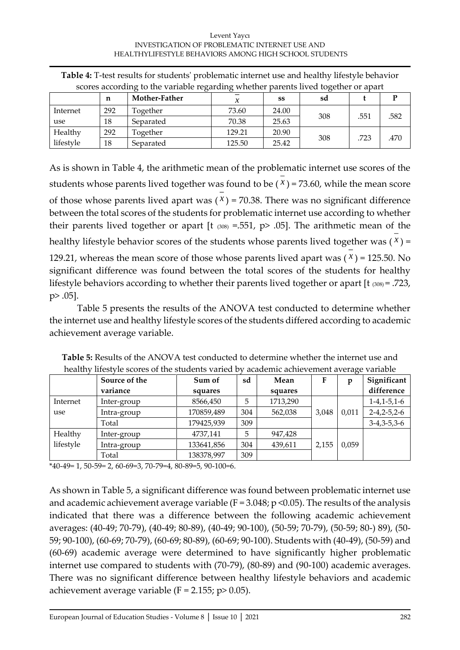#### Levent Yaycı INVESTIGATION OF PROBLEMATIC INTERNET USE AND HEALTHYLIFESTYLE BEHAVIORS AMONG HIGH SCHOOL STUDENTS

|           | ---------------- |               |        |       |     |      |      |  |  |  |  |
|-----------|------------------|---------------|--------|-------|-----|------|------|--|--|--|--|
|           | n                | Mother-Father |        | SS    | sd  |      |      |  |  |  |  |
| Internet  | 292              | Together      | 73.60  | 24.00 | 308 | .551 | .582 |  |  |  |  |
| use       | 18               | Separated     | 70.38  | 25.63 |     |      |      |  |  |  |  |
| Healthy   | 292              | Together      | 129.21 | 20.90 | 308 | .723 | .470 |  |  |  |  |
| lifestyle | 18               | Separated     | 125.50 | 25.42 |     |      |      |  |  |  |  |

**Table 4:** T-test results for students' problematic internet use and healthy lifestyle behavior scores according to the variable regarding whether parents lived together or apart

As is shown in Table 4, the arithmetic mean of the problematic internet use scores of the students whose parents lived together was found to be  $(X)$  = 73.60, while the mean score of those whose parents lived apart was  $(x)$  = 70.38. There was no significant difference between the total scores of the students for problematic internet use according to whether their parents lived together or apart [t  $(308) = .551$ , p> .05]. The arithmetic mean of the healthy lifestyle behavior scores of the students whose parents lived together was ( *x* ) = 129.21, whereas the mean score of those whose parents lived apart was ( *x* ) = 125.50. No significant difference was found between the total scores of the students for healthy lifestyle behaviors according to whether their parents lived together or apart [t (308) = .723, p> .05].

Table 5 presents the results of the ANOVA test conducted to determine whether the internet use and healthy lifestyle scores of the students differed according to academic achievement average variable.

|           | Source of the | Sum of     | sd  | Mean     |       | p     | Significant           |  |
|-----------|---------------|------------|-----|----------|-------|-------|-----------------------|--|
|           | variance      | squares    |     | squares  |       |       | difference            |  |
| Internet  | Inter-group   | 8566,450   | 5   | 1713,290 |       |       | $1-4, 1-5, 1-6$       |  |
| use       | Intra-group   | 170859,489 | 304 | 562,038  | 3.048 | 0,011 | $2 - 4, 2 - 5, 2 - 6$ |  |
|           | Total         | 179425,939 | 309 |          |       |       | $3-4,3-5,3-6$         |  |
| Healthy   | Inter-group   | 4737,141   | 5   | 947,428  |       |       |                       |  |
| lifestyle | Intra-group   | 133641,856 | 304 | 439,611  | 2,155 | 0,059 |                       |  |
|           | Total         | 138378,997 | 309 |          |       |       |                       |  |

**Table 5:** Results of the ANOVA test conducted to determine whether the internet use and healthy lifestyle scores of the students varied by academic achievement average variable

\*40-49= 1, 50-59= 2, 60-69=3, 70-79=4, 80-89=5, 90-100=6.

As shown in Table 5, a significant difference was found between problematic internet use and academic achievement average variable ( $F = 3.048$ ;  $p \le 0.05$ ). The results of the analysis indicated that there was a difference between the following academic achievement averages: (40-49; 70-79), (40-49; 80-89), (40-49; 90-100), (50-59; 70-79), (50-59; 80-) 89), (50- 59; 90-100), (60-69; 70-79), (60-69; 80-89), (60-69; 90-100). Students with (40-49), (50-59) and (60-69) academic average were determined to have significantly higher problematic internet use compared to students with (70-79), (80-89) and (90-100) academic averages. There was no significant difference between healthy lifestyle behaviors and academic achievement average variable ( $F = 2.155$ ;  $p > 0.05$ ).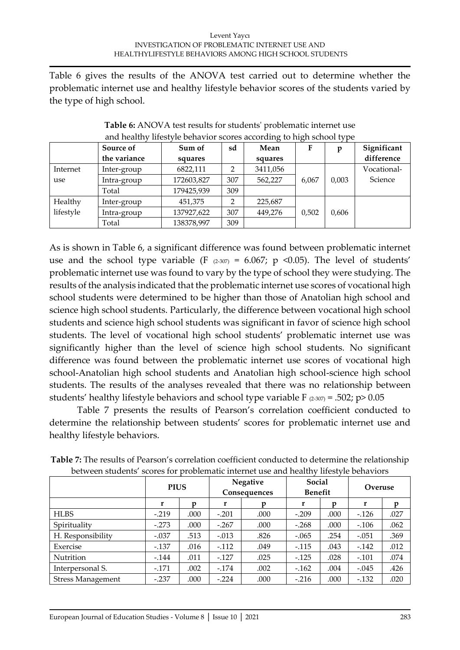Table 6 gives the results of the ANOVA test carried out to determine whether the problematic internet use and healthy lifestyle behavior scores of the students varied by the type of high school.

|           | <u>and nounce</u> | mestyle beliavior scores according to high school type |     |          |       |       |             |
|-----------|-------------------|--------------------------------------------------------|-----|----------|-------|-------|-------------|
|           | Source of         | Sum of                                                 | sd  | Mean     | F     | p     | Significant |
|           | the variance      | squares                                                |     | squares  |       |       | difference  |
| Internet  | Inter-group       | 6822,111                                               | າ   | 3411,056 |       |       | Vocational- |
| use       | Intra-group       | 172603,827                                             | 307 | 562,227  | 6,067 | 0,003 | Science     |
|           | Total             | 179425,939                                             | 309 |          |       |       |             |
| Healthy   | Inter-group       | 451,375                                                |     | 225,687  |       |       |             |
| lifestyle | Intra-group       | 137927,622                                             | 307 | 449,276  | 0,502 | 0,606 |             |
|           | Total             | 138378,997                                             | 309 |          |       |       |             |

**Table 6:** ANOVA test results for students' problematic internet use and healthy lifestyle behavior scores according to high school type

As is shown in Table 6, a significant difference was found between problematic internet use and the school type variable (F  $(2-307) = 6.067$ ; p <0.05). The level of students' problematic internet use was found to vary by the type of school they were studying. The results of the analysis indicated that the problematic internet use scores of vocational high school students were determined to be higher than those of Anatolian high school and science high school students. Particularly, the difference between vocational high school students and science high school students was significant in favor of science high school students. The level of vocational high school students' problematic internet use was significantly higher than the level of science high school students. No significant difference was found between the problematic internet use scores of vocational high school-Anatolian high school students and Anatolian high school-science high school students. The results of the analyses revealed that there was no relationship between students' healthy lifestyle behaviors and school type variable F  $(2-307) = .502$ ; p> 0.05

Table 7 presents the results of Pearson's correlation coefficient conducted to determine the relationship between students' scores for problematic internet use and healthy lifestyle behaviors.

|                          | <b>PIUS</b> |      | Negative<br>Consequences |      | Social<br><b>Benefit</b> |      | Overuse |      |
|--------------------------|-------------|------|--------------------------|------|--------------------------|------|---------|------|
|                          | r           |      | r                        |      | r                        |      | r       |      |
| <b>HLBS</b>              | $-.219$     | .000 | $-.201$                  | .000 | $-.209$                  | .000 | $-.126$ | .027 |
| Spirituality             | $-.273$     | .000 | $-.267$                  | .000 | $-.268$                  | .000 | $-.106$ | .062 |
| H. Responsibility        | $-.037$     | .513 | $-.013$                  | .826 | $-.065$                  | .254 | $-.051$ | .369 |
| Exercise                 | $-.137$     | .016 | $-112$                   | .049 | $-.115$                  | .043 | $-.142$ | .012 |
| Nutrition                | $-0.144$    | .011 | $-.127$                  | .025 | $-0.125$                 | .028 | $-.101$ | .074 |
| Interpersonal S.         | $-.171$     | .002 | $-174$                   | .002 | $-162$                   | .004 | $-.045$ | .426 |
| <b>Stress Management</b> | $-.237$     | .000 | $-.224$                  | .000 | $-.216$                  | .000 | $-132$  | .020 |

**Table 7:** The results of Pearson's correlation coefficient conducted to determine the relationship between students' scores for problematic internet use and healthy lifestyle behaviors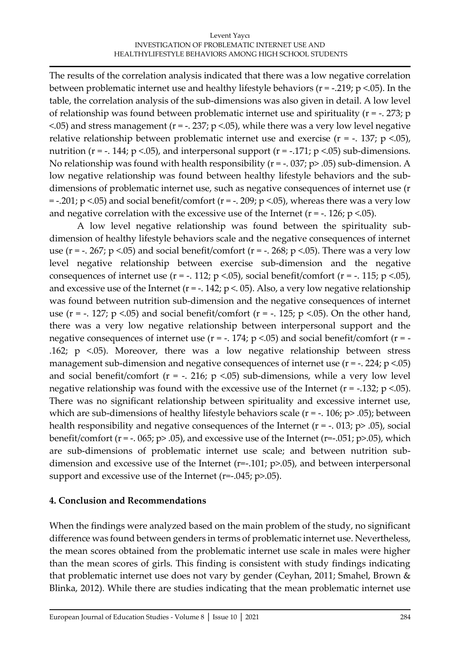The results of the correlation analysis indicated that there was a low negative correlation between problematic internet use and healthy lifestyle behaviors ( $r = -0.219$ ; p <.05). In the table, the correlation analysis of the sub-dimensions was also given in detail. A low level of relationship was found between problematic internet use and spirituality (r = -. 273; p  $\le$  05) and stress management (r = -. 237; p  $\le$  05), while there was a very low level negative relative relationship between problematic internet use and exercise ( $r = -1.137$ ; p <.05), nutrition ( $r = -1.14$ ;  $p < 0.05$ ), and interpersonal support ( $r = -1.171$ ;  $p < 0.05$ ) sub-dimensions. No relationship was found with health responsibility ( $r = -0.037$ ;  $p > 0.05$ ) sub-dimension. A low negative relationship was found between healthy lifestyle behaviors and the subdimensions of problematic internet use, such as negative consequences of internet use (r  $=$  -.201; p <.05) and social benefit/comfort (r = -. 209; p <.05), whereas there was a very low and negative correlation with the excessive use of the Internet ( $r = -126$ ;  $p < 05$ ).

A low level negative relationship was found between the spirituality subdimension of healthy lifestyle behaviors scale and the negative consequences of internet use (r = -. 267; p <.05) and social benefit/comfort (r = -. 268; p <.05). There was a very low level negative relationship between exercise sub-dimension and the negative consequences of internet use  $(r = -.112; p < .05)$ , social benefit/comfort  $(r = -.115; p < .05)$ , and excessive use of the Internet ( $r = -1.142$ ;  $p < 0.05$ ). Also, a very low negative relationship was found between nutrition sub-dimension and the negative consequences of internet use ( $r = -1.127$ ;  $p < 0.05$ ) and social benefit/comfort ( $r = -1.125$ ;  $p < 0.05$ ). On the other hand, there was a very low negative relationship between interpersonal support and the negative consequences of internet use ( $r = -1.174$ ;  $p < 0.05$ ) and social benefit/comfort ( $r = -1$ .162; p <.05). Moreover, there was a low negative relationship between stress management sub-dimension and negative consequences of internet use  $(r = -1.224; p < 0.05)$ and social benefit/comfort ( $r = -1.216$ ;  $p < 0.05$ ) sub-dimensions, while a very low level negative relationship was found with the excessive use of the Internet ( $r = -132$ ;  $p < 05$ ). There was no significant relationship between spirituality and excessive internet use, which are sub-dimensions of healthy lifestyle behaviors scale ( $r = -1.106$ ;  $p > .05$ ); between health responsibility and negative consequences of the Internet ( $r = -0.013$ ;  $p > 0.05$ ), social benefit/comfort ( $r = -0.065$ ;  $p > 0.05$ ), and excessive use of the Internet ( $r = -0.051$ ;  $p > 0.05$ ), which are sub-dimensions of problematic internet use scale; and between nutrition subdimension and excessive use of the Internet (r=-.101; p>.05), and between interpersonal support and excessive use of the Internet (r=-.045; p>.05).

## **4. Conclusion and Recommendations**

When the findings were analyzed based on the main problem of the study, no significant difference was found between genders in terms of problematic internet use. Nevertheless, the mean scores obtained from the problematic internet use scale in males were higher than the mean scores of girls. This finding is consistent with study findings indicating that problematic internet use does not vary by gender (Ceyhan, 2011; Smahel, Brown & Blinka, 2012). While there are studies indicating that the mean problematic internet use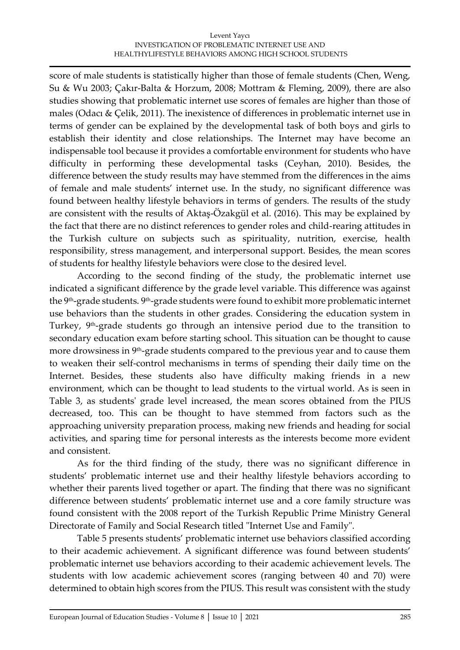score of male students is statistically higher than those of female students (Chen, Weng, Su & Wu 2003; Çakır-Balta & Horzum, 2008; Mottram & Fleming, 2009), there are also studies showing that problematic internet use scores of females are higher than those of males (Odacı & Çelik, 2011). The inexistence of differences in problematic internet use in terms of gender can be explained by the developmental task of both boys and girls to establish their identity and close relationships. The Internet may have become an indispensable tool because it provides a comfortable environment for students who have difficulty in performing these developmental tasks (Ceyhan, 2010). Besides, the difference between the study results may have stemmed from the differences in the aims of female and male students' internet use. In the study, no significant difference was found between healthy lifestyle behaviors in terms of genders. The results of the study are consistent with the results of Aktaş-Özakgül et al. (2016). This may be explained by the fact that there are no distinct references to gender roles and child-rearing attitudes in the Turkish culture on subjects such as spirituality, nutrition, exercise, health responsibility, stress management, and interpersonal support. Besides, the mean scores of students for healthy lifestyle behaviors were close to the desired level.

According to the second finding of the study, the problematic internet use indicated a significant difference by the grade level variable. This difference was against the 9th-grade students. 9th-grade students were found to exhibit more problematic internet use behaviors than the students in other grades. Considering the education system in Turkey, 9th -grade students go through an intensive period due to the transition to secondary education exam before starting school. This situation can be thought to cause more drowsiness in 9<sup>th</sup>-grade students compared to the previous year and to cause them to weaken their self-control mechanisms in terms of spending their daily time on the Internet. Besides, these students also have difficulty making friends in a new environment, which can be thought to lead students to the virtual world. As is seen in Table 3, as students' grade level increased, the mean scores obtained from the PIUS decreased, too. This can be thought to have stemmed from factors such as the approaching university preparation process, making new friends and heading for social activities, and sparing time for personal interests as the interests become more evident and consistent.

As for the third finding of the study, there was no significant difference in students' problematic internet use and their healthy lifestyle behaviors according to whether their parents lived together or apart. The finding that there was no significant difference between students' problematic internet use and a core family structure was found consistent with the 2008 report of the Turkish Republic Prime Ministry General Directorate of Family and Social Research titled "Internet Use and Family".

Table 5 presents students' problematic internet use behaviors classified according to their academic achievement. A significant difference was found between students' problematic internet use behaviors according to their academic achievement levels. The students with low academic achievement scores (ranging between 40 and 70) were determined to obtain high scores from the PIUS. This result was consistent with the study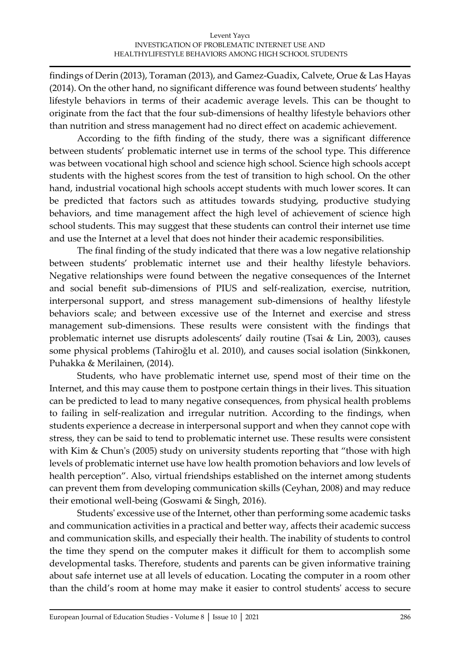findings of Derin (2013), Toraman (2013), and Gamez-Guadix, Calvete, Orue & Las Hayas (2014). On the other hand, no significant difference was found between students' healthy lifestyle behaviors in terms of their academic average levels. This can be thought to originate from the fact that the four sub-dimensions of healthy lifestyle behaviors other than nutrition and stress management had no direct effect on academic achievement.

According to the fifth finding of the study, there was a significant difference between students' problematic internet use in terms of the school type. This difference was between vocational high school and science high school. Science high schools accept students with the highest scores from the test of transition to high school. On the other hand, industrial vocational high schools accept students with much lower scores. It can be predicted that factors such as attitudes towards studying, productive studying behaviors, and time management affect the high level of achievement of science high school students. This may suggest that these students can control their internet use time and use the Internet at a level that does not hinder their academic responsibilities.

The final finding of the study indicated that there was a low negative relationship between students' problematic internet use and their healthy lifestyle behaviors. Negative relationships were found between the negative consequences of the Internet and social benefit sub-dimensions of PIUS and self-realization, exercise, nutrition, interpersonal support, and stress management sub-dimensions of healthy lifestyle behaviors scale; and between excessive use of the Internet and exercise and stress management sub-dimensions. These results were consistent with the findings that problematic internet use disrupts adolescents' daily routine (Tsai & Lin, 2003), causes some physical problems (Tahiroğlu et al. 2010), and causes social isolation (Sinkkonen, Puhakka & Merilainen, (2014).

Students, who have problematic internet use, spend most of their time on the Internet, and this may cause them to postpone certain things in their lives. This situation can be predicted to lead to many negative consequences, from physical health problems to failing in self-realization and irregular nutrition. According to the findings, when students experience a decrease in interpersonal support and when they cannot cope with stress, they can be said to tend to problematic internet use. These results were consistent with Kim & Chun's (2005) study on university students reporting that "those with high levels of problematic internet use have low health promotion behaviors and low levels of health perception". Also, virtual friendships established on the internet among students can prevent them from developing communication skills (Ceyhan, 2008) and may reduce their emotional well-being (Goswami & Singh, 2016).

Students' excessive use of the Internet, other than performing some academic tasks and communication activities in a practical and better way, affects their academic success and communication skills, and especially their health. The inability of students to control the time they spend on the computer makes it difficult for them to accomplish some developmental tasks. Therefore, students and parents can be given informative training about safe internet use at all levels of education. Locating the computer in a room other than the child's room at home may make it easier to control students' access to secure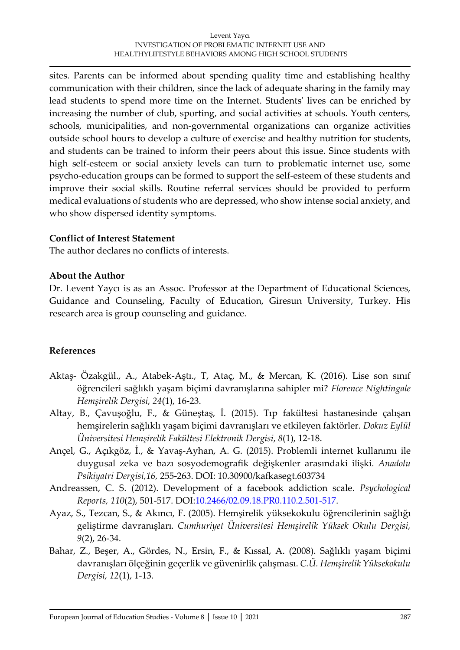sites. Parents can be informed about spending quality time and establishing healthy communication with their children, since the lack of adequate sharing in the family may lead students to spend more time on the Internet. Students' lives can be enriched by increasing the number of club, sporting, and social activities at schools. Youth centers, schools, municipalities, and non-governmental organizations can organize activities outside school hours to develop a culture of exercise and healthy nutrition for students, and students can be trained to inform their peers about this issue. Since students with high self-esteem or social anxiety levels can turn to problematic internet use, some psycho-education groups can be formed to support the self-esteem of these students and improve their social skills. Routine referral services should be provided to perform medical evaluations of students who are depressed, who show intense social anxiety, and who show dispersed identity symptoms.

### **Conflict of Interest Statement**

The author declares no conflicts of interests.

## **About the Author**

Dr. Levent Yaycı is as an Assoc. Professor at the Department of Educational Sciences, Guidance and Counseling, Faculty of Education, Giresun University, Turkey. His research area is group counseling and guidance.

## **References**

- Aktaş- Özakgül., A., Atabek-Aştı., T, Ataç, M., & Mercan, K. (2016). Lise son sınıf öğrencileri sağlıklı yaşam biçimi davranışlarına sahipler mi? *Florence Nightingale Hemşirelik Dergisi, 24*(1), 16-23.
- Altay, B., Çavuşoğlu, F., & Güneştaş, İ. (2015). Tıp fakültesi hastanesinde çalışan hemşirelerin sağlıklı yaşam biçimi davranışları ve etkileyen faktörler. *Dokuz Eylül Üniversitesi Hemşirelik Fakültesi Elektronik Dergisi*, *8*(1), 12-18.
- Ançel, G., Açıkgöz, İ., & Yavaş-Ayhan, A. G. (2015). Problemli internet kullanımı ile duygusal zeka ve bazı sosyodemografik değişkenler arasındaki ilişki. *Anadolu Psikiyatri Dergisi,16,* 255-263. DOI: 10.30900/kafkasegt.603734
- Andreassen, C. S. (2012). Development of a facebook addiction scale. *Psychological Reports, 110*(2), 501-517. DOI[:10.2466/02.09.18.PR0.110.2.501-517.](https://doi.org/10.2466/02.09.18.PR0.110.2.501-517)
- Ayaz, S., Tezcan, S., & Akıncı, F. (2005). Hemşirelik yüksekokulu öğrencilerinin sağlığı geliştirme davranışları. *Cumhuriyet Üniversitesi Hemşirelik Yüksek Okulu Dergisi, 9*(2), 26-34.
- Bahar, Z., Beşer, A., Gördes, N., Ersin, F., & Kıssal, A. (2008). Sağlıklı yaşam biçimi davranışları ölçeğinin geçerlik ve güvenirlik çalışması. *C.Ü. Hemşirelik Yüksekokulu Dergisi, 12*(1), 1-13.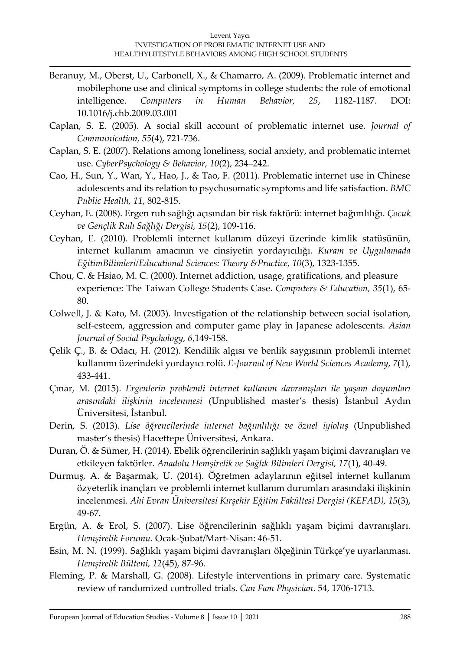- Beranuy, M., Oberst, U., Carbonell, X., & Chamarro, A. (2009). Problematic internet and mobilephone use and clinical symptoms in college students: the role of emotional intelligence. *Computers in Human Behavior, 25*, 1182-1187. DOI: 10.1016/j.chb.2009.03.001
- Caplan, S. E. (2005). A social skill account of problematic internet use. *Journal of Communication, 55*(4), 721-736.
- Caplan, S. E. (2007). Relations among loneliness, social anxiety, and problematic internet use. *CyberPsychology & Behavior, 10*(2), 234–242.
- Cao, H., Sun, Y., Wan, Y., Hao, J., & Tao, F. (2011). Problematic internet use in Chinese adolescents and its relation to psychosomatic symptoms and life satisfaction. *BMC Public Health, 11*, 802-815.
- Ceyhan, E. (2008). Ergen ruh sağlığı açısından bir risk faktörü: internet bağımlılığı. *Çocuk ve Gençlik Ruh Sağlığı Dergisi, 15*(2), 109-116.
- Ceyhan, E. (2010). Problemli internet kullanım düzeyi üzerinde kimlik statüsünün, internet kullanım amacının ve cinsiyetin yordayıcılığı. *Kuram ve Uygulamada EğitimBilimleri/Educational Sciences: Theory &Practice, 10*(3), 1323-1355.
- Chou, C. & Hsiao, M. C. (2000). Internet addiction, usage, gratifications, and pleasure experience: The Taiwan College Students Case. *Computers & Education, 35*(1), 65- 80.
- Colwell, J. & Kato, M. (2003). Investigation of the relationship between social isolation, self-esteem, aggression and computer game play in Japanese adolescents. *Asian Journal of Social Psychology, 6*,149-158.
- Çelik Ç., B. & Odacı, H. (2012). Kendilik algısı ve benlik saygısının problemli internet kullanımı üzerindeki yordayıcı rolü. *E-Journal of New World Sciences Academy, 7*(1), 433-441.
- Çınar, M. (2015). *Ergenlerin problemli internet kullanım davranışları ile yaşam doyumları arasındaki ilişkinin incelenmesi* (Unpublished master's thesis) İstanbul Aydın Üniversitesi, İstanbul.
- Derin, S. (2013). *Lise öğrencilerinde internet bağımlılığı ve öznel iyioluş* (Unpublished master's thesis) Hacettepe Üniversitesi, Ankara.
- Duran, Ö. & Sümer, H. (2014). Ebelik öğrencilerinin sağlıklı yaşam biçimi davranışları ve etkileyen faktörler. *Anadolu Hemşirelik ve Sağlık Bilimleri Dergisi, 17*(1), 40-49.
- Durmuş, A. & Başarmak, U. (2014). Öğretmen adaylarının eğitsel internet kullanım özyeterlik inançları ve problemli internet kullanım durumları arasındaki ilişkinin incelenmesi. *Ahi Evran Üniversitesi Kırşehir Eğitim Fakültesi Dergisi (KEFAD), 15*(3), 49-67.
- Ergün, A. & Erol, S. (2007). Lise öğrencilerinin sağlıklı yaşam biçimi davranışları. *Hemşirelik Forumu.* Ocak-Şubat/Mart-Nisan: 46-51.
- Esin, M. N. (1999). Sağlıklı yaşam biçimi davranışları ölçeğinin Türkçe'ye uyarlanması. *Hemşirelik Bülteni, 12*(45), 87-96.
- Fleming, P. & Marshall, G. (2008). Lifestyle interventions in primary care. Systematic review of randomized controlled trials. *Can Fam Physician*. 54, 1706-1713.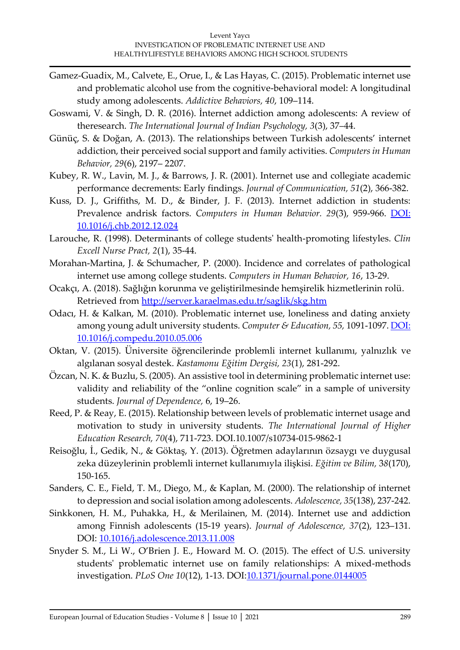- Gamez-Guadix, M., Calvete, E., Orue, I., & Las Hayas, C. (2015). Problematic internet use and problematic alcohol use from the cognitive-behavioral model: A longitudinal study among adolescents. *Addictive Behaviors, 40*, 109–114.
- Goswami, V. & Singh, D. R. (2016). İnternet addiction among adolescents: A review of theresearch. *The International Journal of Indian Psychology, 3*(3), 37–44.
- Günüç, S. & Doğan, A. (2013). The relationships between Turkish adolescents' internet addiction, their perceived social support and family activities. *Computers in Human Behavior, 29*(6), 2197– 2207.
- Kubey, R. W., Lavin, M. J., & Barrows, J. R. (2001). Internet use and collegiate academic performance decrements: Early findings. *Journal of Communication, 51*(2), 366-382.
- Kuss, D. J., Griffiths, M. D., & Binder, J. F. (2013). Internet addiction in students: Prevalence andrisk factors. *Computers in Human Behavior. 29*(3), 959-966. [DOI:](https://psycnet.apa.org/doi/10.1016/j.chb.2012.12.024)  [10.1016/j.chb.2012.12.024](https://psycnet.apa.org/doi/10.1016/j.chb.2012.12.024)
- Larouche, R. (1998). Determinants of college students' health-promoting lifestyles. *Clin Excell Nurse Pract, 2*(1), 35-44.
- Morahan-Martina, J. & Schumacher, P. (2000). Incidence and correlates of pathological internet use among college students. *Computers in Human Behavior, 16*, 13-29.
- Ocakçı, A. (2018). Sağlığın korunma ve geliştirilmesinde hemşirelik hizmetlerinin rolü. Retrieved from<http://server.karaelmas.edu.tr/saglik/skg.htm>
- Odacı, H. & Kalkan, M. (2010). Problematic internet use, loneliness and dating anxiety among young adult university students. *Computer & Education, 55,* 1091-1097. [DOI:](https://doi.org/10.1016/j.compedu.2010.05.006)  [10.1016/j.compedu.2010.05.006](https://doi.org/10.1016/j.compedu.2010.05.006)
- Oktan, V. (2015). Üniversite öğrencilerinde problemli internet kullanımı, yalnızlık ve algılanan sosyal destek. *Kastamonu Eğitim Dergisi, 23*(1), 281-292.
- Özcan, N. K. & Buzlu, S. (2005). An assistive tool in determining problematic internet use: validity and reliability of the "online cognition scale" in a sample of university students. *Journal of Dependence,* 6, 19–26.
- Reed, P. & Reay, E. (2015). Relationship between levels of problematic internet usage and motivation to study in university students. *The International Journal of Higher Education Research, 70*(4), 711-723. DOI.10.1007/s10734-015-9862-1
- Reisoğlu, İ., Gedik, N., & Göktaş, Y. (2013). Öğretmen adaylarının özsaygı ve duygusal zeka düzeylerinin problemli internet kullanımıyla ilişkisi. *Eğitim ve Bilim,* 3*8*(170), 150-165.
- Sanders, C. E., Field, T. M., Diego, M., & Kaplan, M. (2000). The relationship of internet to depression and social isolation among adolescents. *Adolescence, 35*(138), 237-242.
- Sinkkonen, H. M., Puhakka, H., & Merilainen, M. (2014). Internet use and addiction among Finnish adolescents (15-19 years). *Journal of Adolescence, 37*(2), 123–131. DOI: [10.1016/j.adolescence.2013.11.008](https://doi.org/10.1016/j.adolescence.2013.11.008)
- Snyder S. M., Li W., O'Brien J. E., Howard M. O. (2015). The effect of U.S. university students' problematic internet use on family relationships: A mixed-methods investigation. *PLoS One 10*(12), 1-13. DOI[:10.1371/journal.pone.0144005](https://doi.org/10.1371/journal.pone.0144005)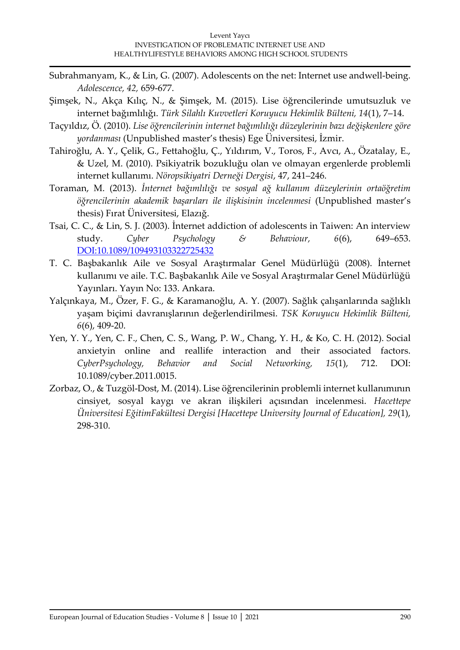- Subrahmanyam, K., & Lin, G. (2007). Adolescents on the net: Internet use andwell-being. *Adolescence, 42,* 659-677.
- Şimşek, N., Akça Kılıç, N., & Şimşek, M. (2015). Lise öğrencilerinde umutsuzluk ve internet bağımlılığı. *Türk Silahlı Kuvvetleri Koruyucu Hekimlik Bülteni, 14*(1), 7–14.
- Taçyıldız, Ö. (2010). *Lise öğrencilerinin internet bağımlılığı düzeylerinin bazı değişkenlere göre yordanması* (Unpublished master's thesis) Ege Üniversitesi, İzmir.
- Tahiroğlu, A. Y., Çelik, G., Fettahoğlu, Ç., Yıldırım, V., Toros, F., Avcı, A., Özatalay, E., & Uzel, M. (2010). Psikiyatrik bozukluğu olan ve olmayan ergenlerde problemli internet kullanımı. *Nöropsikiyatri Derneği Dergisi*, 47, 241–246.
- Toraman, M. (2013). *İnternet bağımlılığı ve sosyal ağ kullanım düzeylerinin ortaöğretim öğrencilerinin akademik başarıları ile ilişkisinin incelenmesi* (Unpublished master's thesis) Fırat Üniversitesi, Elazığ.
- Tsai, C. C., & Lin, S. J. (2003). İnternet addiction of adolescents in Taiwen: An interview study. *Cyber Psychology & Behaviour, 6*(6), 649–653. [DOI:10.1089/109493103322725432](https://doi.org/10.1089/109493103322725432)
- T. C. Başbakanlık Aile ve Sosyal Araştırmalar Genel Müdürlüğü (2008). İnternet kullanımı ve aile. T.C. Başbakanlık Aile ve Sosyal Araştırmalar Genel Müdürlüğü Yayınları. Yayın No: 133. Ankara.
- Yalçınkaya, M., Özer, F. G., & Karamanoğlu, A. Y. (2007). Sağlık çalışanlarında sağlıklı yaşam biçimi davranışlarının değerlendirilmesi. *TSK Koruyucu Hekimlik Bülteni, 6*(6), 409-20.
- Yen, Y. Y., Yen, C. F., Chen, C. S., Wang, P. W., Chang, Y. H., & Ko, C. H. (2012). Social anxietyin online and reallife interaction and their associated factors. *CyberPsychology, Behavior and Social Networking, 15*(1), 712. DOI: 10.1089/cyber.2011.0015.
- Zorbaz, O., & Tuzgöl-Dost, M. (2014). Lise öğrencilerinin problemli internet kullanımının cinsiyet, sosyal kaygı ve akran ilişkileri açısından incelenmesi. *Hacettepe Üniversitesi EğitimFakültesi Dergisi [Hacettepe University Journal of Education], 29*(1), 298-310.